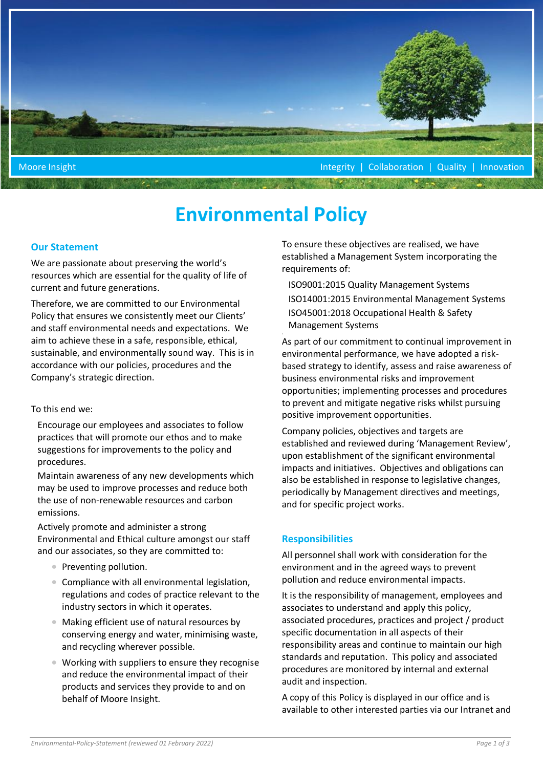

# **Environmental Policy**

## **Our Statement**

We are passionate about preserving the world's resources which are essential for the quality of life of current and future generations.

Therefore, we are committed to our Environmental Policy that ensures we consistently meet our Clients' and staff environmental needs and expectations. We aim to achieve these in a safe, responsible, ethical, sustainable, and environmentally sound way. This is in accordance with our policies, procedures and the Company's strategic direction.

#### To this end we:

Encourage our employees and associates to follow practices that will promote our ethos and to make suggestions for improvements to the policy and procedures.

Maintain awareness of any new developments which may be used to improve processes and reduce both the use of non-renewable resources and carbon emissions.

Actively promote and administer a strong Environmental and Ethical culture amongst our staff and our associates, so they are committed to:

- Preventing pollution.
- Compliance with all environmental legislation, regulations and codes of practice relevant to the industry sectors in which it operates.
- Making efficient use of natural resources by conserving energy and water, minimising waste, and recycling wherever possible.
- Working with suppliers to ensure they recognise and reduce the environmental impact of their products and services they provide to and on behalf of Moore Insight.

To ensure these objectives are realised, we have established a Management System incorporating the requirements of:

ISO9001:2015 Quality Management Systems ISO14001:2015 Environmental Management Systems ISO45001:2018 Occupational Health & Safety Management Systems

As part of our commitment to continual improvement in environmental performance, we have adopted a riskbased strategy to identify, assess and raise awareness of business environmental risks and improvement opportunities; implementing processes and procedures to prevent and mitigate negative risks whilst pursuing positive improvement opportunities.

Company policies, objectives and targets are established and reviewed during 'Management Review', upon establishment of the significant environmental impacts and initiatives. Objectives and obligations can also be established in response to legislative changes, periodically by Management directives and meetings, and for specific project works.

## **Responsibilities**

All personnel shall work with consideration for the environment and in the agreed ways to prevent pollution and reduce environmental impacts.

It is the responsibility of management, employees and associates to understand and apply this policy, associated procedures, practices and project / product specific documentation in all aspects of their responsibility areas and continue to maintain our high standards and reputation. This policy and associated procedures are monitored by internal and external audit and inspection.

A copy of this Policy is displayed in our office and is available to other interested parties via our Intranet and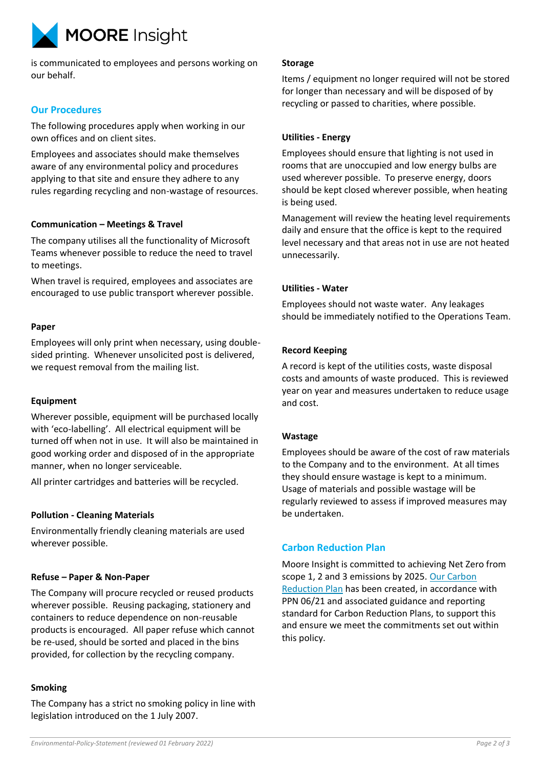

is communicated to employees and persons working on our behalf.

# **Our Procedures**

The following procedures apply when working in our own offices and on client sites.

Employees and associates should make themselves aware of any environmental policy and procedures applying to that site and ensure they adhere to any rules regarding recycling and non-wastage of resources.

# **Communication – Meetings & Travel**

The company utilises all the functionality of Microsoft Teams whenever possible to reduce the need to travel to meetings.

When travel is required, employees and associates are encouraged to use public transport wherever possible.

## **Paper**

Employees will only print when necessary, using doublesided printing. Whenever unsolicited post is delivered, we request removal from the mailing list.

## **Equipment**

Wherever possible, equipment will be purchased locally with 'eco-labelling'. All electrical equipment will be turned off when not in use. It will also be maintained in good working order and disposed of in the appropriate manner, when no longer serviceable.

All printer cartridges and batteries will be recycled.

## **Pollution - Cleaning Materials**

Environmentally friendly cleaning materials are used wherever possible.

## **Refuse – Paper & Non-Paper**

The Company will procure recycled or reused products wherever possible. Reusing packaging, stationery and containers to reduce dependence on non-reusable products is encouraged. All paper refuse which cannot be re-used, should be sorted and placed in the bins provided, for collection by the recycling company.

#### **Smoking**

The Company has a strict no smoking policy in line with legislation introduced on the 1 July 2007.

#### **Storage**

Items / equipment no longer required will not be stored for longer than necessary and will be disposed of by recycling or passed to charities, where possible.

#### **Utilities - Energy**

Employees should ensure that lighting is not used in rooms that are unoccupied and low energy bulbs are used wherever possible. To preserve energy, doors should be kept closed wherever possible, when heating is being used.

Management will review the heating level requirements daily and ensure that the office is kept to the required level necessary and that areas not in use are not heated unnecessarily.

#### **Utilities - Water**

Employees should not waste water. Any leakages should be immediately notified to the Operations Team.

## **Record Keeping**

A record is kept of the utilities costs, waste disposal costs and amounts of waste produced. This is reviewed year on year and measures undertaken to reduce usage and cost.

## **Wastage**

Employees should be aware of the cost of raw materials to the Company and to the environment. At all times they should ensure wastage is kept to a minimum. Usage of materials and possible wastage will be regularly reviewed to assess if improved measures may be undertaken.

# **Carbon Reduction Plan**

Moore Insight is committed to achieving Net Zero from scope 1, 2 and 3 emissions by 2025. Our Carbon [Reduction Plan](https://www.moore-insight.com/MediaLibsAndFiles/media/insightmsc.moorestephens.com2020/Documents/PPN-0621-Carbon-Reduction-Plan-Moore-Insight.pdf) has been created, in accordance with PPN 06/21 and associated guidance and reporting standard for Carbon Reduction Plans, to support this and ensure we meet the commitments set out within this policy.